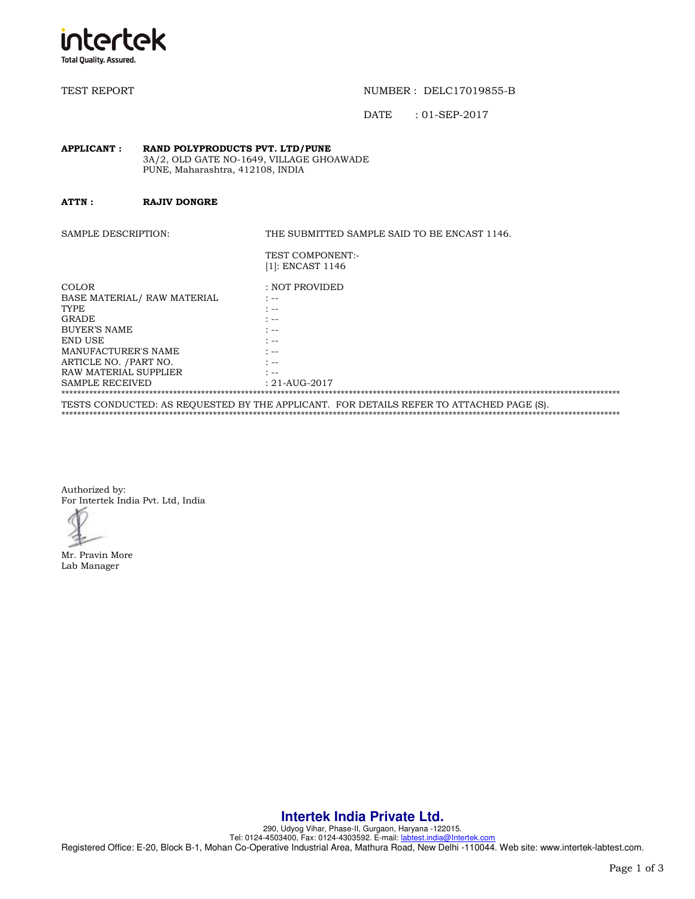

TEST REPORT TEST REPORT TEST AND THE REPORT OF THE REPORT OF THE REPORT OF THE REPORT OF THE REPORT OF THE REPORT OF THE REPORT OF THE REPORT OF THE REPORT OF THE REPORT OF THE REPORT OF THE REPORT OF THE REPORT OF THE REP

DATE : 01-SEP-2017

#### **APPLICANT : RAND POLYPRODUCTS PVT. LTD/PUNE**  3A/2, OLD GATE NO-1649, VILLAGE GHOAWADE PUNE, Maharashtra, 412108, INDIA

**ATTN : RAJIV DONGRE** 

SAMPLE DESCRIPTION: THE SUBMITTED SAMPLE SAID TO BE ENCAST 1146.

| TEST COMPONENT:- |
|------------------|
| [1]: ENCAST 1146 |

| COLOR                                                                                   | : NOT PROVIDED                                              |  |  |
|-----------------------------------------------------------------------------------------|-------------------------------------------------------------|--|--|
| BASE MATERIAL/ RAW MATERIAL                                                             | $\mathcal{L}_{\text{max}}$                                  |  |  |
| <b>TYPE</b>                                                                             | * --                                                        |  |  |
| <b>GRADE</b>                                                                            | $\mathcal{L}$                                               |  |  |
| <b>BUYER'S NAME</b>                                                                     | $\mathcal{F}_{\mathcal{A}}$ and $\mathcal{F}_{\mathcal{A}}$ |  |  |
| END USE                                                                                 | * --                                                        |  |  |
| MANUFACTURER'S NAME                                                                     | $\ddot{\phantom{0}}$                                        |  |  |
| ARTICLE NO. / PART NO.                                                                  | $\ddot{\phantom{0}}$                                        |  |  |
| RAW MATERIAL SUPPLIER                                                                   | $\cdot$                                                     |  |  |
| <b>SAMPLE RECEIVED</b>                                                                  | $: 21 - AUG - 2017$                                         |  |  |
|                                                                                         |                                                             |  |  |
| TESTS CONDUCTED: AS REOUESTED BY THE APPLICANT. FOR DETAILS REFER TO ATTACHED PAGE (S). |                                                             |  |  |

\*\*\*\*\*\*\*\*\*\*\*\*\*\*\*\*\*\*\*\*\*\*\*\*\*\*\*\*\*\*\*\*\*\*\*\*\*\*\*\*\*\*\*\*\*\*\*\*\*\*\*\*\*\*\*\*\*\*\*\*\*\*\*\*\*\*\*\*\*\*\*\*\*\*\*\*\*\*\*\*\*\*\*\*\*\*\*\*\*\*\*\*\*\*\*\*\*\*\*\*\*\*\*\*\*\*\*\*\*\*\*\*\*\*\*\*\*\*\*\*\*\*\*\*\*\*\*\*\*\*\*\*\*\*\*\*\*\*\*\*

Authorized by: For Intertek India Pvt. Ltd, India

Mr. Pravin More Lab Manager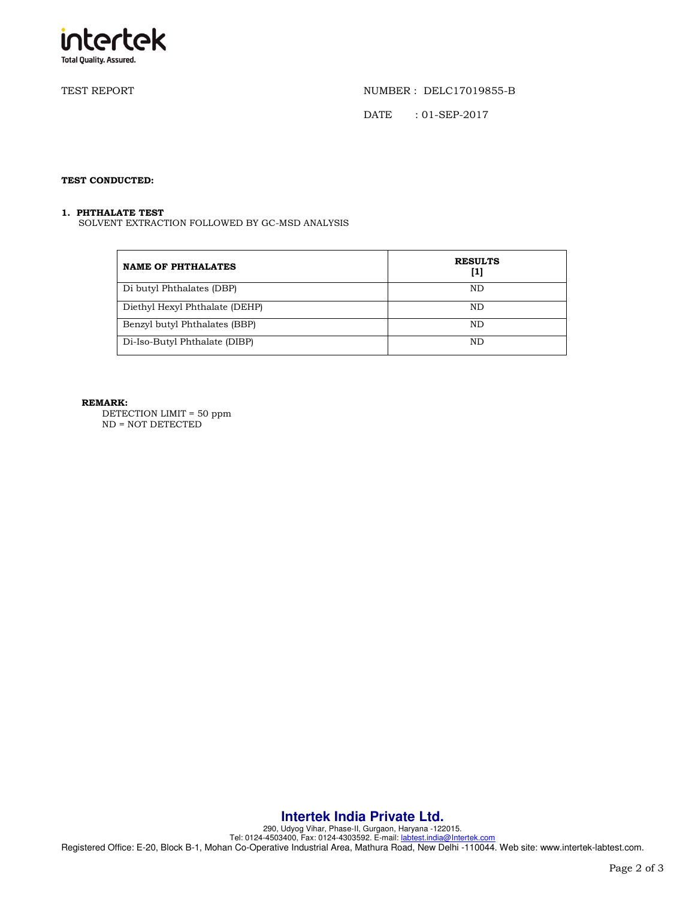

TEST REPORT NUMBER : DELC17019855-B

DATE : 01-SEP-2017

## **TEST CONDUCTED:**

### **1. PHTHALATE TEST**

SOLVENT EXTRACTION FOLLOWED BY GC-MSD ANALYSIS

| <b>NAME OF PHTHALATES</b>      | <b>RESULTS</b><br>[1] |
|--------------------------------|-----------------------|
| Di butyl Phthalates (DBP)      | ND                    |
| Diethyl Hexyl Phthalate (DEHP) | ND                    |
| Benzyl butyl Phthalates (BBP)  | ND                    |
| Di-Iso-Butyl Phthalate (DIBP)  | ND                    |

### **REMARK:**

DETECTION LIMIT = 50 ppm ND = NOT DETECTED